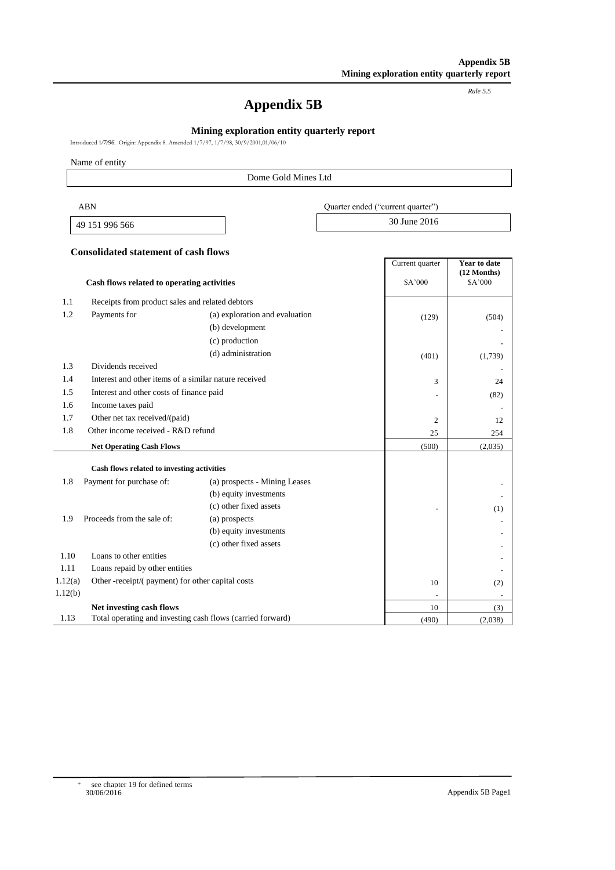*Rule 5.5*

# **Appendix 5B**

## **Mining exploration entity quarterly report**

Introduced 1*/7/96.* Origin: Appendix 8. Amended 1/7/97, 1/7/98, 30/9/2001,01/06/10

Name of entity

### Dome Gold Mines Ltd

| ABN            | Ouarter ended ("current quarter") |
|----------------|-----------------------------------|
| 49 151 996 566 | 30 June 2016                      |

#### **Consolidated statement of cash flows**

|         |                                                            |                                | Current quarter | Year to date             |
|---------|------------------------------------------------------------|--------------------------------|-----------------|--------------------------|
|         | Cash flows related to operating activities                 |                                | \$A'000         | $(12$ Months)<br>\$A'000 |
| 1.1     | Receipts from product sales and related debtors            |                                |                 |                          |
| 1.2     | Payments for                                               | (a) exploration and evaluation | (129)           | (504)                    |
|         |                                                            | (b) development                |                 |                          |
|         |                                                            | (c) production                 |                 |                          |
|         |                                                            | (d) administration             | (401)           | (1,739)                  |
| 1.3     | Dividends received                                         |                                |                 |                          |
| 1.4     | Interest and other items of a similar nature received      |                                | 3               | 24                       |
| 1.5     | Interest and other costs of finance paid                   |                                |                 | (82)                     |
| 1.6     | Income taxes paid                                          |                                |                 |                          |
| 1.7     | Other net tax received/(paid)                              | $\overline{2}$                 | 12              |                          |
| 1.8     | Other income received - R&D refund                         |                                | 25              | 254                      |
|         | <b>Net Operating Cash Flows</b>                            |                                | (500)           | (2,035)                  |
|         | Cash flows related to investing activities                 |                                |                 |                          |
| 1.8     | Payment for purchase of:                                   | (a) prospects - Mining Leases  |                 |                          |
|         |                                                            | (b) equity investments         |                 |                          |
|         |                                                            | (c) other fixed assets         |                 |                          |
| 1.9     | Proceeds from the sale of:                                 | (a) prospects                  |                 | (1)                      |
|         |                                                            | (b) equity investments         |                 |                          |
|         |                                                            | (c) other fixed assets         |                 |                          |
| 1.10    | Loans to other entities                                    |                                |                 | $\overline{\phantom{a}}$ |
| 1.11    | Loans repaid by other entities                             |                                |                 |                          |
| 1.12(a) | Other -receipt/(payment) for other capital costs           |                                | 10              | (2)                      |
| 1.12(b) |                                                            |                                |                 |                          |
|         | Net investing cash flows                                   |                                | 10              | (3)                      |
| 1.13    | Total operating and investing cash flows (carried forward) |                                | (490)           | (2,038)                  |

+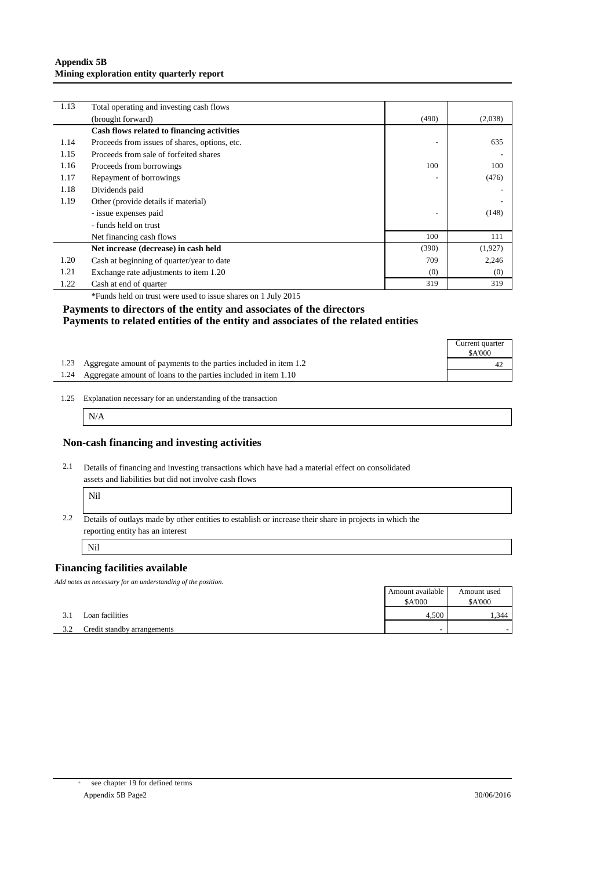#### **Appendix 5B Mining exploration entity quarterly report**

| 1.13 | Total operating and investing cash flows      |                          |         |
|------|-----------------------------------------------|--------------------------|---------|
|      | (brought forward)                             | (490)                    | (2,038) |
|      | Cash flows related to financing activities    |                          |         |
| 1.14 | Proceeds from issues of shares, options, etc. | $\overline{\phantom{0}}$ | 635     |
| 1.15 | Proceeds from sale of forfeited shares        |                          |         |
| 1.16 | Proceeds from borrowings                      | 100                      | 100     |
| 1.17 | Repayment of borrowings                       |                          | (476)   |
| 1.18 | Dividends paid                                |                          |         |
| 1.19 | Other (provide details if material)           |                          |         |
|      | - issue expenses paid                         | ٠                        | (148)   |
|      | - funds held on trust                         |                          |         |
|      | Net financing cash flows                      | 100                      | 111     |
|      | Net increase (decrease) in cash held          | (390)                    | (1,927) |
| 1.20 | Cash at beginning of quarter/year to date     | 709                      | 2,246   |
| 1.21 | Exchange rate adjustments to item 1.20        | (0)                      | (0)     |
| 1.22 | Cash at end of quarter                        | 319                      | 319     |

\*Funds held on trust were used to issue shares on 1 July 2015

#### **Payments to directors of the entity and associates of the directors Payments to related entities of the entity and associates of the related entities**

|                                                                       | Current quarter<br>\$A'000 |
|-----------------------------------------------------------------------|----------------------------|
| 1.23 Aggregate amount of payments to the parties included in item 1.2 |                            |
| 1.24 Aggregate amount of loans to the parties included in item 1.10   |                            |

<sup>1.25</sup> Explanation necessary for an understanding of the transaction

N/A

#### **Non-cash financing and investing activities**

2.1 Details of financing and investing transactions which have had a material effect on consolidated assets and liabilities but did not involve cash flows Ï

| × |
|---|
|---|

2.2 Details of outlays made by other entities to establish or increase their share in projects in which the reporting entity has an interest

Nil

## **Financing facilities available**

*Add notes as necessary for an understanding of the position.*

|     |                             | Amount available | Amount used   |
|-----|-----------------------------|------------------|---------------|
|     |                             | <b>\$A'000</b>   | <b>SA'000</b> |
| 3.1 | Loan facilities             | 4.500            | . 344         |
| 3.2 | Credit standby arrangements |                  |               |

+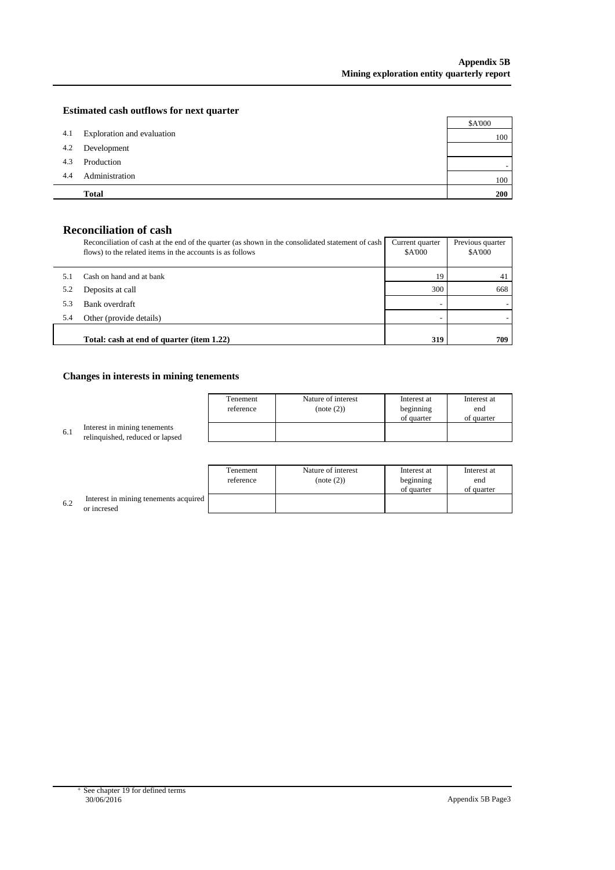## **Estimated cash outflows for next quarter**

|     | <b>Total</b>               | <b>200</b> |
|-----|----------------------------|------------|
| 4.4 | Administration             | 100        |
| 4.3 | Production                 |            |
| 4.2 | Development                |            |
| 4.1 | Exploration and evaluation | 100        |
|     |                            | \$A'000    |

# **Reconciliation of cash**

|     | Reconciliation of cash at the end of the quarter (as shown in the consolidated statement of cash<br>flows) to the related items in the accounts is as follows | Current quarter<br><b>\$A'000</b> | Previous quarter<br>\$A'000 |
|-----|---------------------------------------------------------------------------------------------------------------------------------------------------------------|-----------------------------------|-----------------------------|
|     | Cash on hand and at bank                                                                                                                                      | 19                                | 41                          |
| 5.2 | Deposits at call                                                                                                                                              | 300                               | 668                         |
| 5.3 | Bank overdraft                                                                                                                                                |                                   |                             |
| 5.4 | Other (provide details)                                                                                                                                       |                                   |                             |
|     | Total: cash at end of quarter (item 1.22)                                                                                                                     | 319                               | 709                         |

# **Changes in interests in mining tenements**

|     |                                                                 | Tenement<br>reference | Nature of interest<br>(note (2)) | Interest at<br>beginning | Interest at<br>end |
|-----|-----------------------------------------------------------------|-----------------------|----------------------------------|--------------------------|--------------------|
|     |                                                                 |                       |                                  | of quarter               | of quarter         |
| 6.1 | Interest in mining tenements<br>relinquished, reduced or lapsed |                       |                                  |                          |                    |
|     |                                                                 |                       |                                  |                          |                    |

|     |                                                      | Tenement<br>reference | Nature of interest<br>(note (2)) | Interest at<br>beginning<br>of quarter | Interest at<br>end<br>of quarter |
|-----|------------------------------------------------------|-----------------------|----------------------------------|----------------------------------------|----------------------------------|
| 6.2 | Interest in mining tenements acquired<br>or incresed |                       |                                  |                                        |                                  |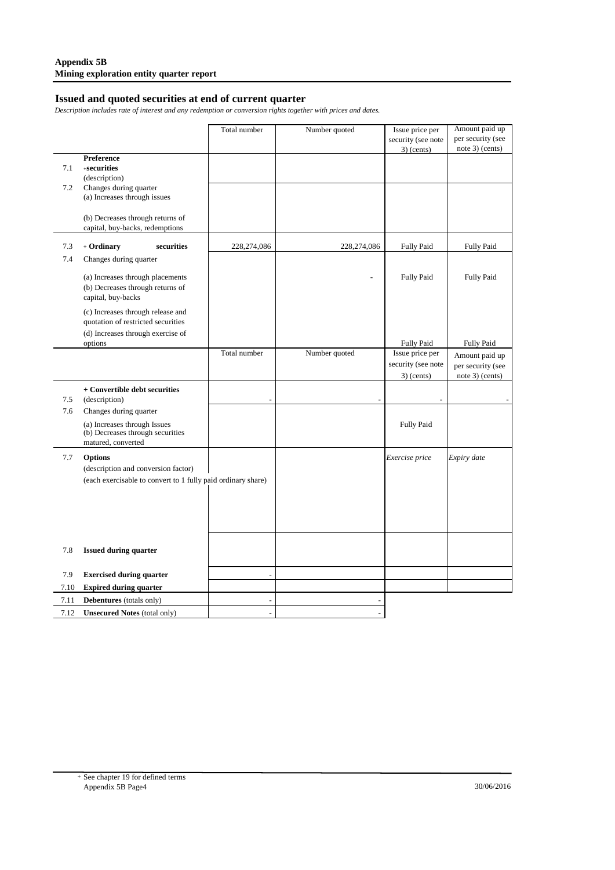# **Issued and quoted securities at end of current quarter**

*Description includes rate of interest and any redemption or conversion rights together with prices and dates.*

|      |                                                                  | Total number   | Number quoted | Issue price per                      | Amount paid up                       |
|------|------------------------------------------------------------------|----------------|---------------|--------------------------------------|--------------------------------------|
|      |                                                                  |                |               | security (see note                   | per security (see                    |
|      |                                                                  |                |               | $3)$ (cents)                         | note 3) (cents)                      |
| 7.1  | Preference<br>$+$ securities                                     |                |               |                                      |                                      |
|      | (description)                                                    |                |               |                                      |                                      |
| 7.2  | Changes during quarter                                           |                |               |                                      |                                      |
|      | (a) Increases through issues                                     |                |               |                                      |                                      |
|      |                                                                  |                |               |                                      |                                      |
|      | (b) Decreases through returns of                                 |                |               |                                      |                                      |
|      | capital, buy-backs, redemptions                                  |                |               |                                      |                                      |
| 7.3  | + Ordinary<br>securities                                         | 228,274,086    | 228,274,086   | <b>Fully Paid</b>                    | <b>Fully Paid</b>                    |
| 7.4  | Changes during quarter                                           |                |               |                                      |                                      |
|      |                                                                  |                |               |                                      |                                      |
|      | (a) Increases through placements                                 |                |               | <b>Fully Paid</b>                    | <b>Fully Paid</b>                    |
|      | (b) Decreases through returns of                                 |                |               |                                      |                                      |
|      | capital, buy-backs                                               |                |               |                                      |                                      |
|      | (c) Increases through release and                                |                |               |                                      |                                      |
|      | quotation of restricted securities                               |                |               |                                      |                                      |
|      | (d) Increases through exercise of                                |                |               |                                      |                                      |
|      | options                                                          | Total number   | Number quoted | <b>Fully Paid</b><br>Issue price per | <b>Fully Paid</b>                    |
|      |                                                                  |                |               | security (see note                   | Amount paid up                       |
|      |                                                                  |                |               |                                      | per security (see<br>note 3) (cents) |
|      |                                                                  |                |               | $3)$ (cents)                         |                                      |
| 7.5  | + Convertible debt securities                                    |                |               |                                      |                                      |
|      | (description)                                                    |                |               |                                      |                                      |
| 7.6  | Changes during quarter                                           |                |               |                                      |                                      |
|      | (a) Increases through Issues<br>(b) Decreases through securities |                |               | <b>Fully Paid</b>                    |                                      |
|      | matured, converted                                               |                |               |                                      |                                      |
|      |                                                                  |                |               |                                      |                                      |
| 7.7  | <b>Options</b>                                                   |                |               | Exercise price                       | Expiry date                          |
|      | (description and conversion factor)                              |                |               |                                      |                                      |
|      | (each exercisable to convert to 1 fully paid ordinary share)     |                |               |                                      |                                      |
|      |                                                                  |                |               |                                      |                                      |
|      |                                                                  |                |               |                                      |                                      |
|      |                                                                  |                |               |                                      |                                      |
|      |                                                                  |                |               |                                      |                                      |
|      |                                                                  |                |               |                                      |                                      |
| 7.8  | <b>Issued during quarter</b>                                     |                |               |                                      |                                      |
|      |                                                                  |                |               |                                      |                                      |
| 7.9  | <b>Exercised during quarter</b>                                  | $\sim$         |               |                                      |                                      |
| 7.10 | <b>Expired during quarter</b>                                    |                |               |                                      |                                      |
| 7.11 | Debentures (totals only)                                         |                |               |                                      |                                      |
| 7.12 | <b>Unsecured Notes (total only)</b>                              | $\overline{a}$ |               |                                      |                                      |